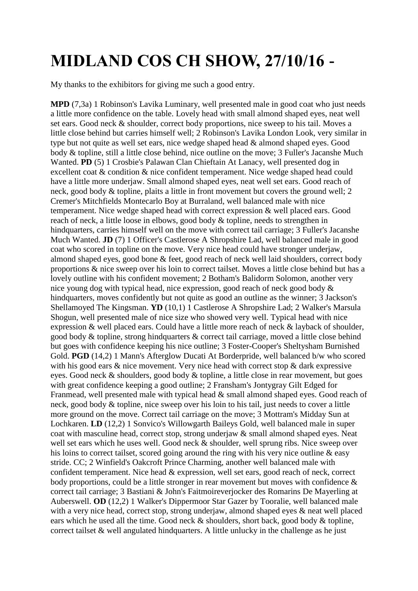## **MIDLAND COS CH SHOW, 27/10/16 -**

My thanks to the exhibitors for giving me such a good entry.

**MPD** (7,3a) 1 Robinson's Lavika Luminary, well presented male in good coat who just needs a little more confidence on the table. Lovely head with small almond shaped eyes, neat well set ears. Good neck & shoulder, correct body proportions, nice sweep to his tail. Moves a little close behind but carries himself well; 2 Robinson's Lavika London Look, very similar in type but not quite as well set ears, nice wedge shaped head & almond shaped eyes. Good body & topline, still a little close behind, nice outline on the move; 3 Fuller's Jacanshe Much Wanted. **PD** (5) 1 Crosbie's Palawan Clan Chieftain At Lanacy, well presented dog in excellent coat & condition & nice confident temperament. Nice wedge shaped head could have a little more underjaw. Small almond shaped eyes, neat well set ears. Good reach of neck, good body & topline, plaits a little in front movement but covers the ground well; 2 Cremer's Mitchfields Montecarlo Boy at Burraland, well balanced male with nice temperament. Nice wedge shaped head with correct expression & well placed ears. Good reach of neck, a little loose in elbows, good body & topline, needs to strengthen in hindquarters, carries himself well on the move with correct tail carriage; 3 Fuller's Jacanshe Much Wanted. **JD** (7) 1 Officer's Castlerose A Shropshire Lad, well balanced male in good coat who scored in topline on the move. Very nice head could have stronger underjaw, almond shaped eyes, good bone & feet, good reach of neck well laid shoulders, correct body proportions & nice sweep over his loin to correct tailset. Moves a little close behind but has a lovely outline with his confident movement; 2 Botham's Balidorm Solomon, another very nice young dog with typical head, nice expression, good reach of neck good body & hindquarters, moves confidently but not quite as good an outline as the winner; 3 Jackson's Shellamoyed The Kingsman. **YD** (10,1) 1 Castlerose A Shropshire Lad; 2 Walker's Marsula Shogun, well presented male of nice size who showed very well. Typical head with nice expression & well placed ears. Could have a little more reach of neck & layback of shoulder, good body & topline, strong hindquarters & correct tail carriage, moved a little close behind but goes with confidence keeping his nice outline; 3 Foster-Cooper's Sheltysham Burnished Gold. **PGD** (14,2) 1 Mann's Afterglow Ducati At Borderpride, well balanced b/w who scored with his good ears  $\&$  nice movement. Very nice head with correct stop  $\&$  dark expressive eyes. Good neck & shoulders, good body & topline, a little close in rear movement, but goes with great confidence keeping a good outline; 2 Fransham's Jontygray Gilt Edged for Franmead, well presented male with typical head & small almond shaped eyes. Good reach of neck, good body & topline, nice sweep over his loin to his tail, just needs to cover a little more ground on the move. Correct tail carriage on the move; 3 Mottram's Midday Sun at Lochkaren. **LD** (12,2) 1 Sonvico's Willowgarth Baileys Gold, well balanced male in super coat with masculine head, correct stop, strong underjaw & small almond shaped eyes. Neat well set ears which he uses well. Good neck & shoulder, well sprung ribs. Nice sweep over his loins to correct tailset, scored going around the ring with his very nice outline & easy stride. CC; 2 Winfield's Oakcroft Prince Charming, another well balanced male with confident temperament. Nice head & expression, well set ears, good reach of neck, correct body proportions, could be a little stronger in rear movement but moves with confidence & correct tail carriage; 3 Bastiani & John's Faitmoireverjocker des Romarins De Mayerling at Auberswell. **OD** (12,2) 1 Walker's Dippermoor Star Gazer by Tooralie, well balanced male with a very nice head, correct stop, strong underjaw, almond shaped eyes  $\&$  neat well placed ears which he used all the time. Good neck & shoulders, short back, good body & topline, correct tailset & well angulated hindquarters. A little unlucky in the challenge as he just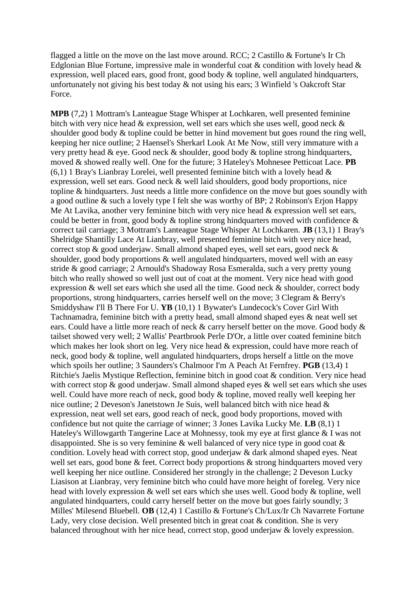flagged a little on the move on the last move around. RCC; 2 Castillo & Fortune's Ir Ch Edglonian Blue Fortune, impressive male in wonderful coat  $\&$  condition with lovely head  $\&$ expression, well placed ears, good front, good body  $\&$  topline, well angulated hindquarters, unfortunately not giving his best today & not using his ears; 3 Winfield 's Oakcroft Star Force.

**MPB** (7,2) 1 Mottram's Lanteague Stage Whisper at Lochkaren, well presented feminine bitch with very nice head & expression, well set ears which she uses well, good neck & shoulder good body & topline could be better in hind movement but goes round the ring well, keeping her nice outline; 2 Haensel's Sherkarl Look At Me Now, still very immature with a very pretty head & eye. Good neck & shoulder, good body & topline strong hindquarters, moved & showed really well. One for the future; 3 Hateley's Mohnesee Petticoat Lace. **PB**  $(6,1)$  1 Bray's Lianbray Lorelei, well presented feminine bitch with a lovely head  $\&$ expression, well set ears. Good neck & well laid shoulders, good body proportions, nice topline & hindquarters. Just needs a little more confidence on the move but goes soundly with a good outline & such a lovely type I felt she was worthy of BP; 2 Robinson's Erjon Happy Me At Lavika, another very feminine bitch with very nice head & expression well set ears, could be better in front, good body  $\&$  topline strong hindquarters moved with confidence  $\&$ correct tail carriage; 3 Mottram's Lanteague Stage Whisper At Lochkaren. **JB** (13,1) 1 Bray's Shelridge Shantilly Lace At Lianbray, well presented feminine bitch with very nice head, correct stop & good underjaw. Small almond shaped eyes, well set ears, good neck & shoulder, good body proportions & well angulated hindquarters, moved well with an easy stride & good carriage; 2 Arnould's Shadoway Rosa Esmeralda, such a very pretty young bitch who really showed so well just out of coat at the moment. Very nice head with good expression & well set ears which she used all the time. Good neck & shoulder, correct body proportions, strong hindquarters, carries herself well on the move; 3 Clegram & Berry's Smiddyshaw I'll B There For U. **YB** (10,1) 1 Bywater's Lundecock's Cover Girl With Tachnamadra, feminine bitch with a pretty head, small almond shaped eyes & neat well set ears. Could have a little more reach of neck & carry herself better on the move. Good body & tailset showed very well; 2 Wallis' Peartbrook Perle D'Or, a little over coated feminine bitch which makes her look short on leg. Very nice head & expression, could have more reach of neck, good body & topline, well angulated hindquarters, drops herself a little on the move which spoils her outline; 3 Saunders's Chalmoor I'm A Peach At Fernfrey. **PGB** (13,4) 1 Ritchie's Jaelis Mystique Reflection, feminine bitch in good coat & condition. Very nice head with correct stop & good underjaw. Small almond shaped eyes & well set ears which she uses well. Could have more reach of neck, good body & topline, moved really well keeping her nice outline; 2 Deveson's Janetstown Je Suis, well balanced bitch with nice head & expression, neat well set ears, good reach of neck, good body proportions, moved with confidence but not quite the carriage of winner; 3 Jones Lavika Lucky Me. **LB** (8,1) 1 Hateley's Willowgarth Tangerine Lace at Mohnessy, took my eye at first glance & I was not disappointed. She is so very feminine & well balanced of very nice type in good coat & condition. Lovely head with correct stop, good underjaw & dark almond shaped eyes. Neat well set ears, good bone & feet. Correct body proportions & strong hindquarters moved very well keeping her nice outline. Considered her strongly in the challenge; 2 Deveson Lucky Liasison at Lianbray, very feminine bitch who could have more height of foreleg. Very nice head with lovely expression & well set ears which she uses well. Good body & topline, well angulated hindquarters, could carry herself better on the move but goes fairly soundly; 3 Milles' Milesend Bluebell. **OB** (12,4) 1 Castillo & Fortune's Ch/Lux/Ir Ch Navarrete Fortune Lady, very close decision. Well presented bitch in great coat  $\&$  condition. She is very balanced throughout with her nice head, correct stop, good underjaw & lovely expression.